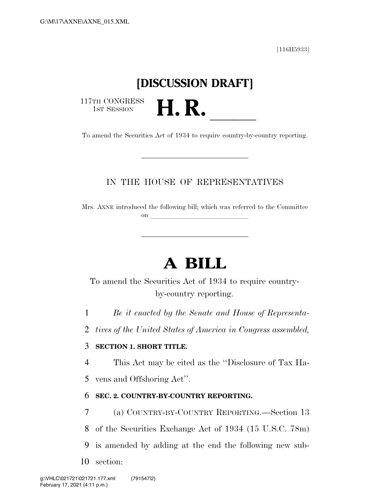[116H5933]

## **[DISCUSSION DRAFT]**

117TH CONGRESS<br>1st Session

117TH CONGRESS<br>
1ST SESSION<br>
To amend the Securities Act of 1934 to require country-by-country reporting.

### IN THE HOUSE OF REPRESENTATIVES

Mrs. AXNE introduced the following bill; which was referred to the Committee on  $\overline{\qquad \qquad }$ 

# **A BILL**

To amend the Securities Act of 1934 to require countryby-country reporting.

1 *Be it enacted by the Senate and House of Representa-*

2 *tives of the United States of America in Congress assembled,* 

### 3 **SECTION 1. SHORT TITLE.**

4 This Act may be cited as the ''Disclosure of Tax Ha-

5 vens and Offshoring Act''.

### 6 **SEC. 2. COUNTRY-BY-COUNTRY REPORTING.**

7 (a) COUNTRY-BY-COUNTRY REPORTING.—Section 13

8 of the Securities Exchange Act of 1934 (15 U.S.C. 78m)

- 9 is amended by adding at the end the following new sub-
- 10 section: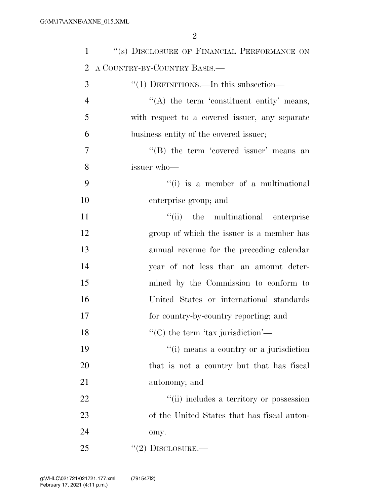| $\mathbf{1}$   | "(s) DISCLOSURE OF FINANCIAL PERFORMANCE ON    |
|----------------|------------------------------------------------|
| $\overline{2}$ | A COUNTRY-BY-COUNTRY BASIS.—                   |
| 3              | "(1) DEFINITIONS.—In this subsection—          |
| $\overline{4}$ | $\lq\lq$ the term 'constituent entity' means,  |
| 5              | with respect to a covered issuer, any separate |
| 6              | business entity of the covered issuer;         |
| 7              | "(B) the term 'covered issuer' means an        |
| 8              | issuer who-                                    |
| 9              | $\lq\lq(i)$ is a member of a multinational     |
| 10             | enterprise group; and                          |
| 11             | "(ii) the multinational enterprise             |
| 12             | group of which the issuer is a member has      |
| 13             | annual revenue for the preceding calendar      |
| 14             | year of not less than an amount deter-         |
| 15             | mined by the Commission to conform to          |
| 16             | United States or international standards       |
| 17             | for country-by-country reporting; and          |
| 18             | "(C) the term 'tax jurisdiction'—              |
| 19             | "(i) means a country or a jurisdiction         |
| 20             | that is not a country but that has fiscal      |
| 21             | autonomy; and                                  |
| 22             | "(ii) includes a territory or possession       |
| 23             | of the United States that has fiscal auton-    |
| 24             | omy.                                           |
| 25             | "(2) DISCLOSURE.—                              |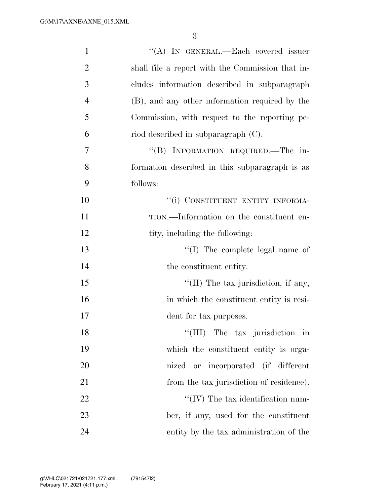| $\mathbf{1}$   | "(A) IN GENERAL.—Each covered issuer             |
|----------------|--------------------------------------------------|
| $\overline{2}$ | shall file a report with the Commission that in- |
| 3              | cludes information described in subparagraph     |
| $\overline{4}$ | (B), and any other information required by the   |
| 5              | Commission, with respect to the reporting pe-    |
| 6              | riod described in subparagraph $(C)$ .           |
| 7              | "(B) INFORMATION REQUIRED.—The in-               |
| 8              | formation described in this subparagraph is as   |
| 9              | follows:                                         |
| 10             | "(i) CONSTITUENT ENTITY INFORMA-                 |
| 11             | TION.—Information on the constituent en-         |
| 12             | tity, including the following:                   |
| 13             | $\lq\lq$ (I) The complete legal name of          |
| 14             | the constituent entity.                          |
| 15             | $\lq$ (II) The tax jurisdiction, if any,         |
| 16             | in which the constituent entity is resi-         |
| 17             | dent for tax purposes.                           |
| 18             | "(III) The tax jurisdiction in                   |
| 19             | which the constituent entity is orga-            |
| 20             | nized or incorporated (if different              |
| 21             | from the tax jurisdiction of residence).         |
| 22             | $\lq\lq$ (IV) The tax identification num-        |
| 23             | ber, if any, used for the constituent            |
| 24             | entity by the tax administration of the          |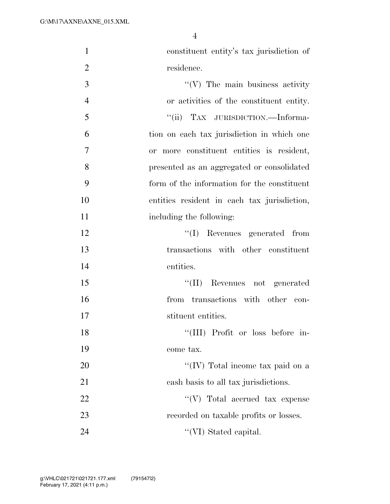| $\mathbf{1}$   | constituent entity's tax jurisdiction of    |
|----------------|---------------------------------------------|
| $\overline{2}$ | residence.                                  |
| 3              | $\lq\lq(V)$ The main business activity      |
| $\overline{4}$ | or activities of the constituent entity.    |
| 5              | "(ii) TAX JURISDICTION.—Informa-            |
| 6              | tion on each tax jurisdiction in which one  |
| $\overline{7}$ | or more constituent entities is resident,   |
| 8              | presented as an aggregated or consolidated  |
| 9              | form of the information for the constituent |
| 10             | entities resident in each tax jurisdiction, |
| 11             | including the following:                    |
| 12             | $``(I)$ Revenues generated from             |
| 13             | transactions with other constituent         |
| 14             | entities.                                   |
| 15             | "(II) Revenues not generated                |
| 16             | from transactions with other con-           |
| 17             | stituent entities.                          |
| 18             | "(III) Profit or loss before in-            |
| 19             | come tax.                                   |
| 20             | "(IV) Total income tax paid on a            |
| 21             | cash basis to all tax jurisdictions.        |
| 22             | $\lq\lq(V)$ Total accrued tax expense       |
| 23             | recorded on taxable profits or losses.      |
| 24             | "(VI) Stated capital.                       |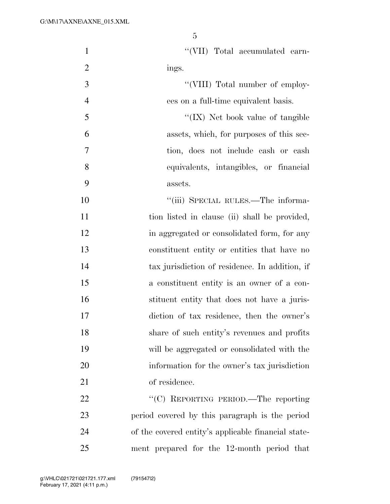| $\mathbf{1}$   | "(VII) Total accumulated earn-                      |
|----------------|-----------------------------------------------------|
| $\overline{2}$ | ings.                                               |
| 3              | "(VIII) Total number of employ-                     |
| $\overline{4}$ | ees on a full-time equivalent basis.                |
| 5              | "(IX) Net book value of tangible                    |
| 6              | assets, which, for purposes of this sec-            |
| 7              | tion, does not include cash or cash                 |
| 8              | equivalents, intangibles, or financial              |
| 9              | assets.                                             |
| 10             | "(iii) SPECIAL RULES.—The informa-                  |
| 11             | tion listed in clause (ii) shall be provided,       |
| 12             | in aggregated or consolidated form, for any         |
| 13             | constituent entity or entities that have no         |
| 14             | tax jurisdiction of residence. In addition, if      |
| 15             | a constituent entity is an owner of a con-          |
| 16             | stituent entity that does not have a juris-         |
| 17             | diction of tax residence, then the owner's          |
| 18             | share of such entity's revenues and profits         |
| 19             | will be aggregated or consolidated with the         |
| 20             | information for the owner's tax jurisdiction        |
| 21             | of residence.                                       |
| 22             | "(C) REPORTING PERIOD.—The reporting                |
| 23             | period covered by this paragraph is the period      |
| 24             | of the covered entity's applicable financial state- |
| 25             | ment prepared for the 12-month period that          |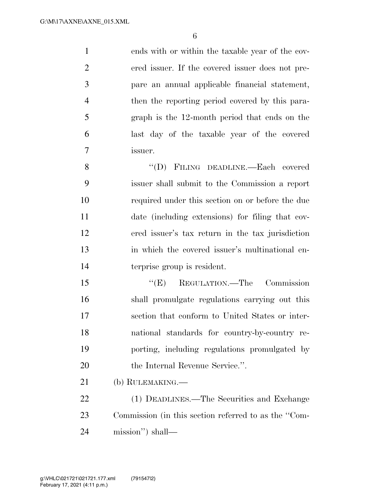ends with or within the taxable year of the cov- ered issuer. If the covered issuer does not pre- pare an annual applicable financial statement, then the reporting period covered by this para- graph is the 12-month period that ends on the last day of the taxable year of the covered issuer.

 ''(D) FILING DEADLINE.—Each covered issuer shall submit to the Commission a report required under this section on or before the due date (including extensions) for filing that cov- ered issuer's tax return in the tax jurisdiction in which the covered issuer's multinational en-terprise group is resident.

15 "(E) REGULATION.—The Commission shall promulgate regulations carrying out this section that conform to United States or inter- national standards for country-by-country re- porting, including regulations promulgated by 20 the Internal Revenue Service.".

(b) RULEMAKING.—

 (1) DEADLINES.—The Securities and Exchange Commission (in this section referred to as the ''Com-mission'') shall—